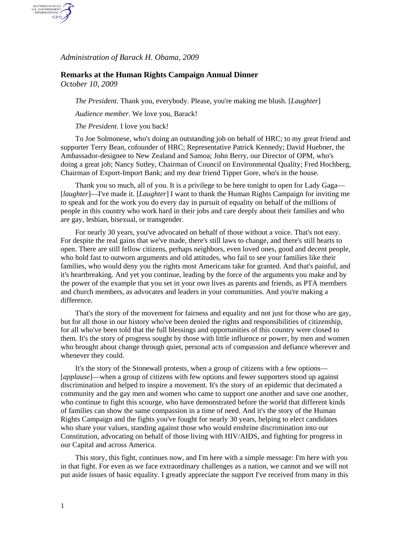*Administration of Barack H. Obama, 2009* 

AUTHENTICATED<br>U.S. GOVERNMENT<br>INFORMATION GPO

## **Remarks at the Human Rights Campaign Annual Dinner**  *October 10, 2009*

*The President*. Thank you, everybody. Please, you're making me blush. [*Laughter*]

*Audience member*. We love you, Barack!

*The President*. I love you back!

To Joe Solmonese, who's doing an outstanding job on behalf of HRC; to my great friend and supporter Terry Bean, cofounder of HRC; Representative Patrick Kennedy; David Huebner, the Ambassador-designee to New Zealand and Samoa; John Berry, our Director of OPM, who's doing a great job; Nancy Sutley, Chairman of Council on Environmental Quality; Fred Hochberg, Chairman of Export-Import Bank; and my dear friend Tipper Gore, who's in the house.

Thank you so much, all of you. It is a privilege to be here tonight to open for Lady Gaga— [*laughter*]—I've made it. [*Laughter*] I want to thank the Human Rights Campaign for inviting me to speak and for the work you do every day in pursuit of equality on behalf of the millions of people in this country who work hard in their jobs and care deeply about their families and who are gay, lesbian, bisexual, or transgender.

For nearly 30 years, you've advocated on behalf of those without a voice. That's not easy. For despite the real gains that we've made, there's still laws to change, and there's still hearts to open. There are still fellow citizens, perhaps neighbors, even loved ones, good and decent people, who hold fast to outworn arguments and old attitudes, who fail to see your families like their families, who would deny you the rights most Americans take for granted. And that's painful, and it's heartbreaking. And yet you continue, leading by the force of the arguments you make and by the power of the example that you set in your own lives as parents and friends, as PTA members and church members, as advocates and leaders in your communities. And you're making a difference.

That's the story of the movement for fairness and equality and not just for those who are gay, but for all those in our history who've been denied the rights and responsibilities of citizenship, for all who've been told that the full blessings and opportunities of this country were closed to them. It's the story of progress sought by those with little influence or power, by men and women who brought about change through quiet, personal acts of compassion and defiance wherever and whenever they could.

It's the story of the Stonewall protests, when a group of citizens with a few options— [*applause*]—when a group of citizens with few options and fewer supporters stood up against discrimination and helped to inspire a movement. It's the story of an epidemic that decimated a community and the gay men and women who came to support one another and save one another, who continue to fight this scourge, who have demonstrated before the world that different kinds of families can show the same compassion in a time of need. And it's the story of the Human Rights Campaign and the fights you've fought for nearly 30 years, helping to elect candidates who share your values, standing against those who would enshrine discrimination into our Constitution, advocating on behalf of those living with HIV/AIDS, and fighting for progress in our Capital and across America.

This story, this fight, continues now, and I'm here with a simple message: I'm here with you in that fight. For even as we face extraordinary challenges as a nation, we cannot and we will not put aside issues of basic equality. I greatly appreciate the support I've received from many in this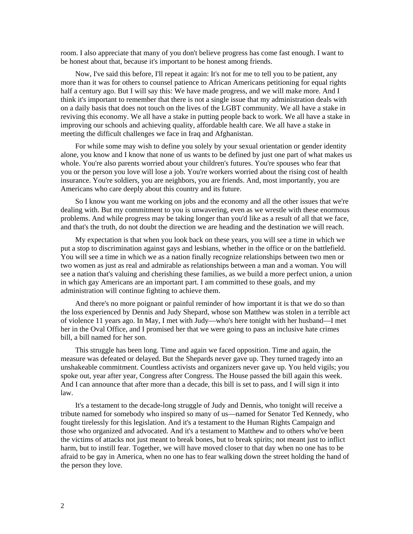room. I also appreciate that many of you don't believe progress has come fast enough. I want to be honest about that, because it's important to be honest among friends.

Now, I've said this before, I'll repeat it again: It's not for me to tell you to be patient, any more than it was for others to counsel patience to African Americans petitioning for equal rights half a century ago. But I will say this: We have made progress, and we will make more. And I think it's important to remember that there is not a single issue that my administration deals with on a daily basis that does not touch on the lives of the LGBT community. We all have a stake in reviving this economy. We all have a stake in putting people back to work. We all have a stake in improving our schools and achieving quality, affordable health care. We all have a stake in meeting the difficult challenges we face in Iraq and Afghanistan.

For while some may wish to define you solely by your sexual orientation or gender identity alone, you know and I know that none of us wants to be defined by just one part of what makes us whole. You're also parents worried about your children's futures. You're spouses who fear that you or the person you love will lose a job. You're workers worried about the rising cost of health insurance. You're soldiers, you are neighbors, you are friends. And, most importantly, you are Americans who care deeply about this country and its future.

So I know you want me working on jobs and the economy and all the other issues that we're dealing with. But my commitment to you is unwavering, even as we wrestle with these enormous problems. And while progress may be taking longer than you'd like as a result of all that we face, and that's the truth, do not doubt the direction we are heading and the destination we will reach.

My expectation is that when you look back on these years, you will see a time in which we put a stop to discrimination against gays and lesbians, whether in the office or on the battlefield. You will see a time in which we as a nation finally recognize relationships between two men or two women as just as real and admirable as relationships between a man and a woman. You will see a nation that's valuing and cherishing these families, as we build a more perfect union, a union in which gay Americans are an important part. I am committed to these goals, and my administration will continue fighting to achieve them.

And there's no more poignant or painful reminder of how important it is that we do so than the loss experienced by Dennis and Judy Shepard, whose son Matthew was stolen in a terrible act of violence 11 years ago. In May, I met with Judy—who's here tonight with her husband—I met her in the Oval Office, and I promised her that we were going to pass an inclusive hate crimes bill, a bill named for her son.

This struggle has been long. Time and again we faced opposition. Time and again, the measure was defeated or delayed. But the Shepards never gave up. They turned tragedy into an unshakeable commitment. Countless activists and organizers never gave up. You held vigils; you spoke out, year after year, Congress after Congress. The House passed the bill again this week. And I can announce that after more than a decade, this bill is set to pass, and I will sign it into law.

It's a testament to the decade-long struggle of Judy and Dennis, who tonight will receive a tribute named for somebody who inspired so many of us—named for Senator Ted Kennedy, who fought tirelessly for this legislation. And it's a testament to the Human Rights Campaign and those who organized and advocated. And it's a testament to Matthew and to others who've been the victims of attacks not just meant to break bones, but to break spirits; not meant just to inflict harm, but to instill fear. Together, we will have moved closer to that day when no one has to be afraid to be gay in America, when no one has to fear walking down the street holding the hand of the person they love.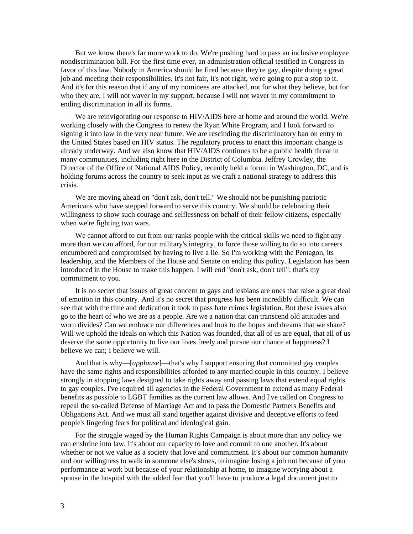But we know there's far more work to do. We're pushing hard to pass an inclusive employee nondiscrimination bill. For the first time ever, an administration official testified in Congress in favor of this law. Nobody in America should be fired because they're gay, despite doing a great job and meeting their responsibilities. It's not fair, it's not right, we're going to put a stop to it. And it's for this reason that if any of my nominees are attacked, not for what they believe, but for who they are, I will not waver in my support, because I will not waver in my commitment to ending discrimination in all its forms.

We are reinvigorating our response to HIV/AIDS here at home and around the world. We're working closely with the Congress to renew the Ryan White Program, and I look forward to signing it into law in the very near future. We are rescinding the discriminatory ban on entry to the United States based on HIV status. The regulatory process to enact this important change is already underway. And we also know that HIV/AIDS continues to be a public health threat in many communities, including right here in the District of Columbia. Jeffrey Crowley, the Director of the Office of National AIDS Policy, recently held a forum in Washington, DC, and is holding forums across the country to seek input as we craft a national strategy to address this crisis.

We are moving ahead on "don't ask, don't tell." We should not be punishing patriotic Americans who have stepped forward to serve this country. We should be celebrating their willingness to show such courage and selflessness on behalf of their fellow citizens, especially when we're fighting two wars.

We cannot afford to cut from our ranks people with the critical skills we need to fight any more than we can afford, for our military's integrity, to force those willing to do so into careers encumbered and compromised by having to live a lie. So I'm working with the Pentagon, its leadership, and the Members of the House and Senate on ending this policy. Legislation has been introduced in the House to make this happen. I will end "don't ask, don't tell"; that's my commitment to you.

It is no secret that issues of great concern to gays and lesbians are ones that raise a great deal of emotion in this country. And it's no secret that progress has been incredibly difficult. We can see that with the time and dedication it took to pass hate crimes legislation. But these issues also go to the heart of who we are as a people. Are we a nation that can transcend old attitudes and worn divides? Can we embrace our differences and look to the hopes and dreams that we share? Will we uphold the ideals on which this Nation was founded, that all of us are equal, that all of us deserve the same opportunity to live our lives freely and pursue our chance at happiness? I believe we can; I believe we will.

And that is why—[*applause*]—that's why I support ensuring that committed gay couples have the same rights and responsibilities afforded to any married couple in this country. I believe strongly in stopping laws designed to take rights away and passing laws that extend equal rights to gay couples. I've required all agencies in the Federal Government to extend as many Federal benefits as possible to LGBT families as the current law allows. And I've called on Congress to repeal the so-called Defense of Marriage Act and to pass the Domestic Partners Benefits and Obligations Act. And we must all stand together against divisive and deceptive efforts to feed people's lingering fears for political and ideological gain.

For the struggle waged by the Human Rights Campaign is about more than any policy we can enshrine into law. It's about our capacity to love and commit to one another. It's about whether or not we value as a society that love and commitment. It's about our common humanity and our willingness to walk in someone else's shoes, to imagine losing a job not because of your performance at work but because of your relationship at home, to imagine worrying about a spouse in the hospital with the added fear that you'll have to produce a legal document just to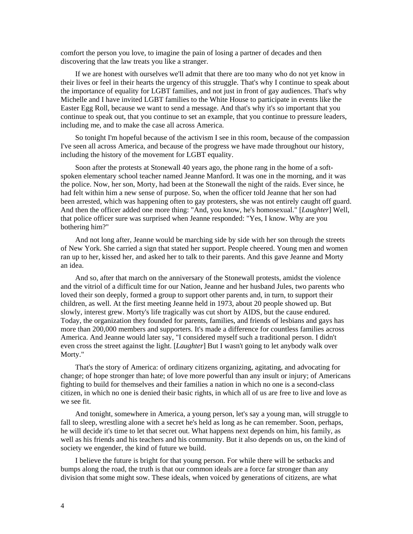comfort the person you love, to imagine the pain of losing a partner of decades and then discovering that the law treats you like a stranger.

If we are honest with ourselves we'll admit that there are too many who do not yet know in their lives or feel in their hearts the urgency of this struggle. That's why I continue to speak about the importance of equality for LGBT families, and not just in front of gay audiences. That's why Michelle and I have invited LGBT families to the White House to participate in events like the Easter Egg Roll, because we want to send a message. And that's why it's so important that you continue to speak out, that you continue to set an example, that you continue to pressure leaders, including me, and to make the case all across America.

So tonight I'm hopeful because of the activism I see in this room, because of the compassion I've seen all across America, and because of the progress we have made throughout our history, including the history of the movement for LGBT equality.

Soon after the protests at Stonewall 40 years ago, the phone rang in the home of a softspoken elementary school teacher named Jeanne Manford. It was one in the morning, and it was the police. Now, her son, Morty, had been at the Stonewall the night of the raids. Ever since, he had felt within him a new sense of purpose. So, when the officer told Jeanne that her son had been arrested, which was happening often to gay protesters, she was not entirely caught off guard. And then the officer added one more thing: "And, you know, he's homosexual." [*Laughter*] Well, that police officer sure was surprised when Jeanne responded: "Yes, I know. Why are you bothering him?"

And not long after, Jeanne would be marching side by side with her son through the streets of New York. She carried a sign that stated her support. People cheered. Young men and women ran up to her, kissed her, and asked her to talk to their parents. And this gave Jeanne and Morty an idea.

And so, after that march on the anniversary of the Stonewall protests, amidst the violence and the vitriol of a difficult time for our Nation, Jeanne and her husband Jules, two parents who loved their son deeply, formed a group to support other parents and, in turn, to support their children, as well. At the first meeting Jeanne held in 1973, about 20 people showed up. But slowly, interest grew. Morty's life tragically was cut short by AIDS, but the cause endured. Today, the organization they founded for parents, families, and friends of lesbians and gays has more than 200,000 members and supporters. It's made a difference for countless families across America. And Jeanne would later say, "I considered myself such a traditional person. I didn't even cross the street against the light. [*Laughter*] But I wasn't going to let anybody walk over Morty."

That's the story of America: of ordinary citizens organizing, agitating, and advocating for change; of hope stronger than hate; of love more powerful than any insult or injury; of Americans fighting to build for themselves and their families a nation in which no one is a second-class citizen, in which no one is denied their basic rights, in which all of us are free to live and love as we see fit.

And tonight, somewhere in America, a young person, let's say a young man, will struggle to fall to sleep, wrestling alone with a secret he's held as long as he can remember. Soon, perhaps, he will decide it's time to let that secret out. What happens next depends on him, his family, as well as his friends and his teachers and his community. But it also depends on us, on the kind of society we engender, the kind of future we build.

I believe the future is bright for that young person. For while there will be setbacks and bumps along the road, the truth is that our common ideals are a force far stronger than any division that some might sow. These ideals, when voiced by generations of citizens, are what